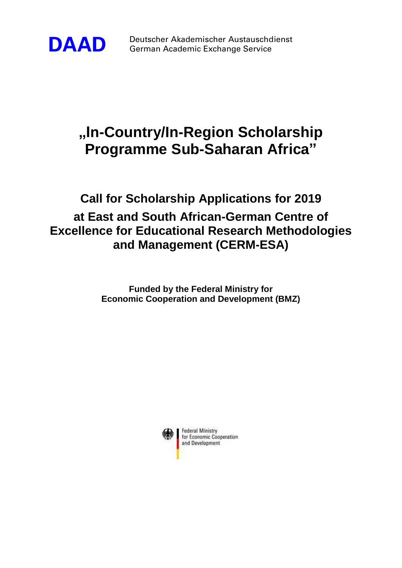

**DAAD** Deutscher Akademischer Austauschdienst German Academic Exchange Service

# **"In-Country/In-Region Scholarship Programme Sub-Saharan Africa"**

# **Call for Scholarship Applications for 2019 at East and South African-German Centre of Excellence for Educational Research Methodologies and Management (CERM-ESA)**

**Funded by the Federal Ministry for Economic Cooperation and Development (BMZ)**



**Federal Ministry** for Economic Cooperation and Development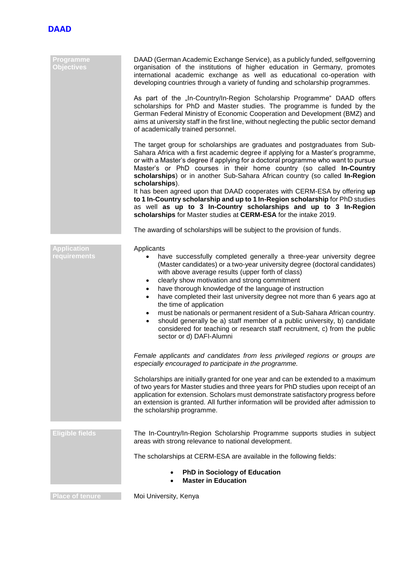

| Programme<br><b>Objectives</b>     | DAAD (German Academic Exchange Service), as a publicly funded, selfgoverning<br>organisation of the institutions of higher education in Germany, promotes<br>international academic exchange as well as educational co-operation with<br>developing countries through a variety of funding and scholarship programmes.                                                                                                                                                                                                                                                                                                                                                                                                                                                   |
|------------------------------------|--------------------------------------------------------------------------------------------------------------------------------------------------------------------------------------------------------------------------------------------------------------------------------------------------------------------------------------------------------------------------------------------------------------------------------------------------------------------------------------------------------------------------------------------------------------------------------------------------------------------------------------------------------------------------------------------------------------------------------------------------------------------------|
|                                    | As part of the "In-Country/In-Region Scholarship Programme" DAAD offers<br>scholarships for PhD and Master studies. The programme is funded by the<br>German Federal Ministry of Economic Cooperation and Development (BMZ) and<br>aims at university staff in the first line, without neglecting the public sector demand<br>of academically trained personnel.                                                                                                                                                                                                                                                                                                                                                                                                         |
|                                    | The target group for scholarships are graduates and postgraduates from Sub-<br>Sahara Africa with a first academic degree if applying for a Master's programme,<br>or with a Master's degree if applying for a doctoral programme who want to pursue<br>Master's or PhD courses in their home country (so called In-Country<br>scholarships) or in another Sub-Sahara African country (so called In-Region<br>scholarships).                                                                                                                                                                                                                                                                                                                                             |
|                                    | It has been agreed upon that DAAD cooperates with CERM-ESA by offering up<br>to 1 In-Country scholarship and up to 1 In-Region scholarship for PhD studies<br>as well as up to 3 In-Country scholarships and up to 3 In-Region<br>scholarships for Master studies at CERM-ESA for the intake 2019.                                                                                                                                                                                                                                                                                                                                                                                                                                                                       |
|                                    | The awarding of scholarships will be subject to the provision of funds.                                                                                                                                                                                                                                                                                                                                                                                                                                                                                                                                                                                                                                                                                                  |
| <b>Application</b><br>requirements | Applicants<br>have successfully completed generally a three-year university degree<br>(Master candidates) or a two-year university degree (doctoral candidates)<br>with above average results (upper forth of class)<br>clearly show motivation and strong commitment<br>$\bullet$<br>have thorough knowledge of the language of instruction<br>$\bullet$<br>have completed their last university degree not more than 6 years ago at<br>$\bullet$<br>the time of application<br>must be nationals or permanent resident of a Sub-Sahara African country.<br>$\bullet$<br>should generally be a) staff member of a public university, b) candidate<br>$\bullet$<br>considered for teaching or research staff recruitment, c) from the public<br>sector or d) DAFI-Alumni |
|                                    | Female applicants and candidates from less privileged regions or groups are<br>especially encouraged to participate in the programme.                                                                                                                                                                                                                                                                                                                                                                                                                                                                                                                                                                                                                                    |
|                                    | Scholarships are initially granted for one year and can be extended to a maximum<br>of two years for Master studies and three years for PhD studies upon receipt of an<br>application for extension. Scholars must demonstrate satisfactory progress before<br>an extension is granted. All further information will be provided after admission to<br>the scholarship programme.                                                                                                                                                                                                                                                                                                                                                                                        |
| <b>Eligible fields</b>             | The In-Country/In-Region Scholarship Programme supports studies in subject<br>areas with strong relevance to national development.                                                                                                                                                                                                                                                                                                                                                                                                                                                                                                                                                                                                                                       |
|                                    | The scholarships at CERM-ESA are available in the following fields:                                                                                                                                                                                                                                                                                                                                                                                                                                                                                                                                                                                                                                                                                                      |
|                                    | <b>PhD in Sociology of Education</b><br><b>Master in Education</b>                                                                                                                                                                                                                                                                                                                                                                                                                                                                                                                                                                                                                                                                                                       |
| <b>Place of tenure</b>             | Moi University, Kenya                                                                                                                                                                                                                                                                                                                                                                                                                                                                                                                                                                                                                                                                                                                                                    |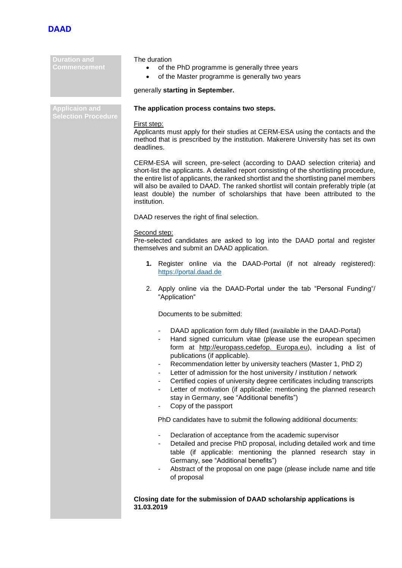

**Duration and Commencement**

**Applicaion and Selection Procedure**

#### The duration

- of the PhD programme is generally three years
- of the Master programme is generally two years

### generally **starting in September.**

## **The application process contains two steps.**

#### First step:

Applicants must apply for their studies at CERM-ESA using the contacts and the method that is prescribed by the institution. Makerere University has set its own deadlines.

CERM-ESA will screen, pre-select (according to DAAD selection criteria) and short-list the applicants. A detailed report consisting of the shortlisting procedure, the entire list of applicants, the ranked shortlist and the shortlisting panel members will also be availed to DAAD. The ranked shortlist will contain preferably triple (at least double) the number of scholarships that have been attributed to the institution.

DAAD reserves the right of final selection.

#### Second step:

Pre-selected candidates are asked to log into the DAAD portal and register themselves and submit an DAAD application.

- **1.** Register online via the DAAD-Portal (if not already registered): [https://portal.daad.de](https://portal.daad.de/)
- 2. Apply online via the DAAD-Portal under the tab "Personal Funding"/ "Application"

Documents to be submitted:

- DAAD application form duly filled (available in the DAAD-Portal)
- Hand signed curriculum vitae (please use the european specimen form at http://europass.cedefop. Europa.eu), including a list of publications (if applicable).
- Recommendation letter by university teachers (Master 1, PhD 2)
- Letter of admission for the host university / institution / network
- Certified copies of university degree certificates including transcripts
- Letter of motivation (if applicable: mentioning the planned research stay in Germany, see "Additional benefits")
- Copy of the passport

PhD candidates have to submit the following additional documents:

- Declaration of acceptance from the academic supervisor
- Detailed and precise PhD proposal, including detailed work and time table (if applicable: mentioning the planned research stay in Germany, see "Additional benefits")
- Abstract of the proposal on one page (please include name and title of proposal

**Closing date for the submission of DAAD scholarship applications is 31.03.2019**